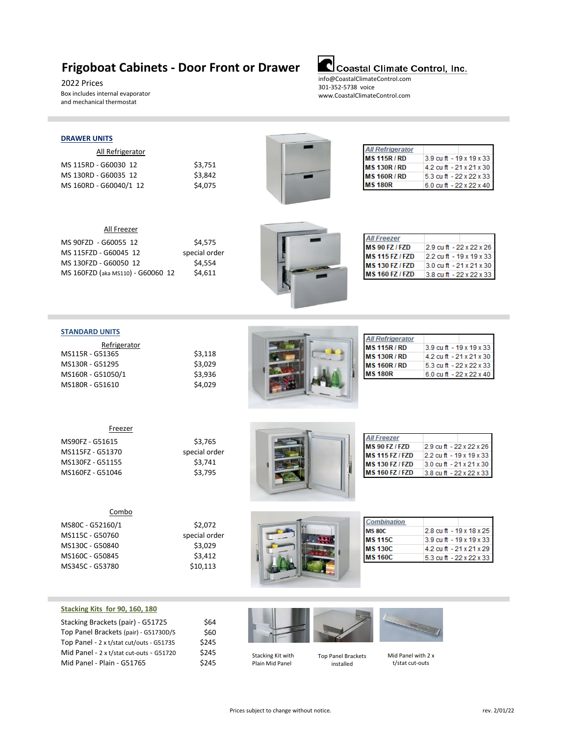### **Frigoboat Cabinets - Door Front or Drawer**

2022 Prices Box includes internal evaporator and mechanical thermostat

### Coastal Climate Control, Inc.

info@CoastalClimateControl.com 301-352-5738 voice www.CoastalClimateControl.com

#### **DRAWER UNITS**

All Refrigerator

MS 115RD - G60030 12 \$3,751<br>MS 130RD - G60035 12 \$3,842 MS 130RD - G60035 12 MS 160RD - G60040/1 12 \$4,075



| <b>All Refrigerator</b> |                          |
|-------------------------|--------------------------|
| <b>MS 115R/RD</b>       | 3.9 cu ft - 19 x 19 x 33 |
| <b>MS 130R/RD</b>       | 4.2 cu ft - 21 x 21 x 30 |
| <b>MS 160R/RD</b>       | 5.3 cu ft - 22 x 22 x 33 |
| <b>MS 180R</b>          | 6.0 cu ft - 22 x 22 x 40 |

| All Freezer                       |               |
|-----------------------------------|---------------|
| MS 90FZD - G60055 12              | \$4,575       |
| MS 115FZD - G60045 12             | special order |
| MS 130FZD - G60050 12             | \$4,554       |
| MS 160FZD (aka MS110) - G60060 12 | \$4,611       |



| <b>MS 90 FZ / FZD</b>  | 2.9 cu ft - 22 x 22 x 26            |
|------------------------|-------------------------------------|
| <b>MS 115 FZ / FZD</b> | $2.2$ cu ft - 19 x 19 x 33          |
| <b>MS 130 FZ / FZD</b> | 3.0 cu ft $-21 \times 21 \times 30$ |
| <b>MS 160 FZ / FZD</b> | 3.8 cu ft $-22x22x33$               |

#### **STANDARD UNITS**

| Refrigerator      |         |
|-------------------|---------|
| MS115R - G51365   | \$3,118 |
| MS130R - G51295   | \$3.029 |
| MS160R - G51050/1 | \$3.936 |
| MS180R - G51610   | \$4.029 |



| 3.9 cu ft - 19 x 19 x 33 |
|--------------------------|
| 4.2 cu ft - 21 x 21 x 30 |
| 5.3 cu ft - 22 x 22 x 33 |
| 6.0 cu ft - 22 x 22 x 40 |
|                          |

| Freezer          |               |
|------------------|---------------|
| MS90FZ - G51615  | \$3,765       |
| MS115FZ - G51370 | special order |
| MS130FZ - G51155 | \$3.741       |
| MS160FZ - G51046 | \$3,795       |
|                  |               |

| Combo            |             |
|------------------|-------------|
| MS80C - G52160/1 | \$2.072     |
| MS115C - G50760  | special ord |
| MS130C - G50840  | \$3.029     |
| MS160C - G50845  | \$3.412     |



| <b>All Freezer</b>     |                          |
|------------------------|--------------------------|
| MS 90 FZ / FZD         | 2.9 cu ft - 22 x 22 x 26 |
| <b>MS 115 FZ / FZD</b> | 2.2 cu ft - 19 x 19 x 33 |
| <b>MS 130 FZ / FZD</b> | 3.0 cu ft - 21 x 21 x 30 |
| <b>MS 160 FZ / FZD</b> | 3.8 cu ft - 22 x 22 x 33 |
|                        |                          |

|               | Combo            |
|---------------|------------------|
| \$2,072       | MS80C - G52160/1 |
| special order | MS115C - G50760  |
| \$3,029       | MS130C - G50840  |
| \$3.412       | MS160C - G50845  |
| \$10,113      | MS345C - G53780  |
|               |                  |



| <b>Combination</b> |                          |
|--------------------|--------------------------|
| <b>MS 80C</b>      | 2.8 cu ft - 19 x 18 x 25 |
| <b>MS 115C</b>     | 3.9 cu ft - 19 x 19 x 33 |
| <b>MS 130C</b>     | 4.2 cu ft - 21 x 21 x 29 |
| <b>MS 160C</b>     | 5.3 cu ft - 22 x 22 x 33 |

#### **Stacking Kits for 90, 160, 180**

| Stacking Brackets (pair) - G51725        | \$64  |
|------------------------------------------|-------|
| Top Panel Brackets (pair) - G51730D/S    | \$60  |
| Top Panel - 2 x t/stat cut/outs - G51735 | \$245 |
| Mid Panel - 2 x t/stat cut-outs - G51720 | \$245 |
| Mid Panel - Plain - G51765               | \$245 |



Stacking Kit with Plain Mid Panel

Top Panel Brackets installed

Mid Panel with 2 x t/stat cut-outs